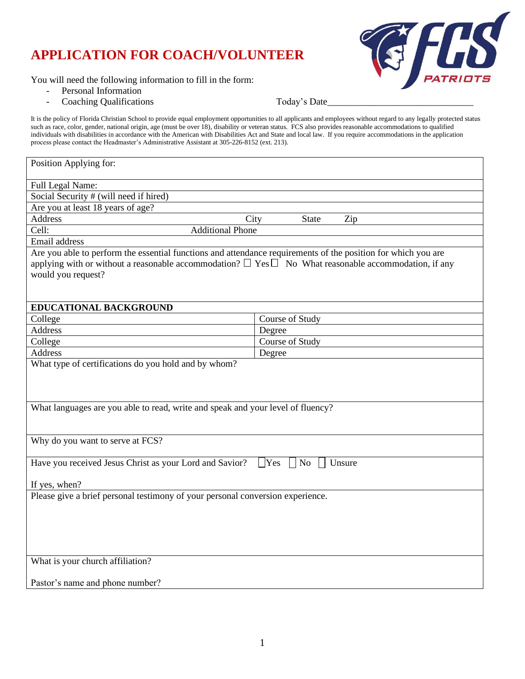# **APPLICATION FOR COACH/VOLUNTEER**



You will need the following information to fill in the form:

- Personal Information
- Coaching Qualifications **Today's Date**

It is the policy of Florida Christian School to provide equal employment opportunities to all applicants and employees without regard to any legally protected status such as race, color, gender, national origin, age (must be over 18), disability or veteran status. FCS also provides reasonable accommodations to qualified individuals with disabilities in accordance with the American with Disabilities Act and State and local law. If you require accommodations in the application process please contact the Headmaster's Administrative Assistant at 305-226-8152 (ext. 213).

| Position Applying for:                                                                                                                                                                                                                                 |                             |  |  |  |
|--------------------------------------------------------------------------------------------------------------------------------------------------------------------------------------------------------------------------------------------------------|-----------------------------|--|--|--|
| Full Legal Name:                                                                                                                                                                                                                                       |                             |  |  |  |
| Social Security # (will need if hired)                                                                                                                                                                                                                 |                             |  |  |  |
| Are you at least 18 years of age?                                                                                                                                                                                                                      |                             |  |  |  |
| <b>Address</b>                                                                                                                                                                                                                                         | City<br><b>State</b><br>Zip |  |  |  |
| Cell:<br><b>Additional Phone</b>                                                                                                                                                                                                                       |                             |  |  |  |
| Email address                                                                                                                                                                                                                                          |                             |  |  |  |
| Are you able to perform the essential functions and attendance requirements of the position for which you are<br>applying with or without a reasonable accommodation? $\Box$ Yes $\Box$ No What reasonable accommodation, if any<br>would you request? |                             |  |  |  |
| <b>EDUCATIONAL BACKGROUND</b>                                                                                                                                                                                                                          |                             |  |  |  |
| College                                                                                                                                                                                                                                                | Course of Study             |  |  |  |
| <b>Address</b>                                                                                                                                                                                                                                         | Degree                      |  |  |  |
| College                                                                                                                                                                                                                                                | Course of Study             |  |  |  |
| <b>Address</b>                                                                                                                                                                                                                                         | Degree                      |  |  |  |
| What type of certifications do you hold and by whom?<br>What languages are you able to read, write and speak and your level of fluency?                                                                                                                |                             |  |  |  |
| Why do you want to serve at FCS?                                                                                                                                                                                                                       |                             |  |  |  |
| Have you received Jesus Christ as your Lord and Savior?<br>$\vert$ Yes $\vert$ No<br>Unsure<br>If yes, when?                                                                                                                                           |                             |  |  |  |
| Please give a brief personal testimony of your personal conversion experience.                                                                                                                                                                         |                             |  |  |  |
| What is your church affiliation?<br>Pastor's name and phone number?                                                                                                                                                                                    |                             |  |  |  |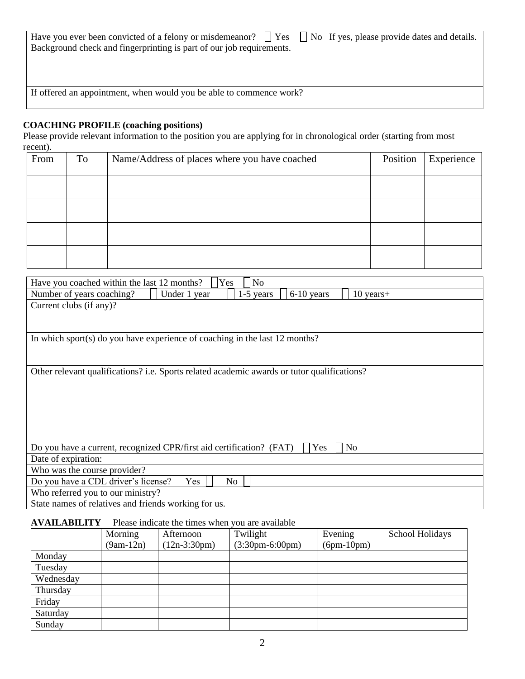| Have you ever been convicted of a felony or misdemeanor? $\Box$ Yes $\Box$ No If yes, please provide dates and details. |  |  |
|-------------------------------------------------------------------------------------------------------------------------|--|--|
| Background check and fingerprinting is part of our job requirements.                                                    |  |  |

If offered an appointment, when would you be able to commence work?

#### **COACHING PROFILE (coaching positions)**

Please provide relevant information to the position you are applying for in chronological order (starting from most recent).

| From | To | Name/Address of places where you have coached | Position | Experience |
|------|----|-----------------------------------------------|----------|------------|
|      |    |                                               |          |            |
|      |    |                                               |          |            |
|      |    |                                               |          |            |
|      |    |                                               |          |            |

| Have you coached within the last 12 months?          | Yes<br>N <sub>o</sub>                                                                       |              |             |  |
|------------------------------------------------------|---------------------------------------------------------------------------------------------|--------------|-------------|--|
| Number of years coaching?                            | $1-5$ years<br>Under 1 year                                                                 | $6-10$ years | $10$ years+ |  |
| Current clubs (if any)?                              |                                                                                             |              |             |  |
|                                                      |                                                                                             |              |             |  |
|                                                      |                                                                                             |              |             |  |
|                                                      | In which sport(s) do you have experience of coaching in the last $12$ months?               |              |             |  |
|                                                      |                                                                                             |              |             |  |
|                                                      |                                                                                             |              |             |  |
|                                                      | Other relevant qualifications? i.e. Sports related academic awards or tutor qualifications? |              |             |  |
|                                                      |                                                                                             |              |             |  |
|                                                      |                                                                                             |              |             |  |
|                                                      |                                                                                             |              |             |  |
|                                                      |                                                                                             |              |             |  |
|                                                      |                                                                                             |              |             |  |
|                                                      |                                                                                             |              |             |  |
|                                                      | Do you have a current, recognized CPR/first aid certification? (FAT)                        | Yes          | No          |  |
| Date of expiration:                                  |                                                                                             |              |             |  |
| Who was the course provider?                         |                                                                                             |              |             |  |
| Do you have a CDL driver's license?                  | Yes<br>No                                                                                   |              |             |  |
| Who referred you to our ministry?                    |                                                                                             |              |             |  |
| State names of relatives and friends working for us. |                                                                                             |              |             |  |

#### **AVAILABILITY** Please indicate the times when you are available

|           | Morning     | Afternoon      | Twilight          | Evening      | School Holidays |
|-----------|-------------|----------------|-------------------|--------------|-----------------|
|           | $(9am-12n)$ | $(12n-3:30pm)$ | $(3:30pm-6:00pm)$ | $(6pm-10pm)$ |                 |
| Monday    |             |                |                   |              |                 |
| Tuesday   |             |                |                   |              |                 |
| Wednesday |             |                |                   |              |                 |
| Thursday  |             |                |                   |              |                 |
| Friday    |             |                |                   |              |                 |
| Saturday  |             |                |                   |              |                 |
| Sunday    |             |                |                   |              |                 |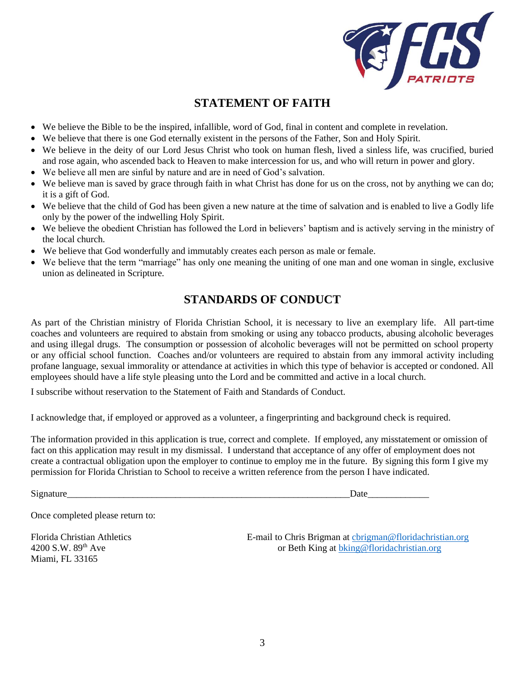

## **STATEMENT OF FAITH**

- We believe the Bible to be the inspired, infallible, word of God, final in content and complete in revelation.
- We believe that there is one God eternally existent in the persons of the Father, Son and Holy Spirit.
- We believe in the deity of our Lord Jesus Christ who took on human flesh, lived a sinless life, was crucified, buried and rose again, who ascended back to Heaven to make intercession for us, and who will return in power and glory.
- We believe all men are sinful by nature and are in need of God's salvation.
- We believe man is saved by grace through faith in what Christ has done for us on the cross, not by anything we can do; it is a gift of God.
- We believe that the child of God has been given a new nature at the time of salvation and is enabled to live a Godly life only by the power of the indwelling Holy Spirit.
- We believe the obedient Christian has followed the Lord in believers' baptism and is actively serving in the ministry of the local church.
- We believe that God wonderfully and immutably creates each person as male or female.
- We believe that the term "marriage" has only one meaning the uniting of one man and one woman in single, exclusive union as delineated in Scripture.

## **STANDARDS OF CONDUCT**

As part of the Christian ministry of Florida Christian School, it is necessary to live an exemplary life. All part-time coaches and volunteers are required to abstain from smoking or using any tobacco products, abusing alcoholic beverages and using illegal drugs. The consumption or possession of alcoholic beverages will not be permitted on school property or any official school function. Coaches and/or volunteers are required to abstain from any immoral activity including profane language, sexual immorality or attendance at activities in which this type of behavior is accepted or condoned. All employees should have a life style pleasing unto the Lord and be committed and active in a local church.

I subscribe without reservation to the Statement of Faith and Standards of Conduct.

I acknowledge that, if employed or approved as a volunteer, a fingerprinting and background check is required.

The information provided in this application is true, correct and complete. If employed, any misstatement or omission of fact on this application may result in my dismissal. I understand that acceptance of any offer of employment does not create a contractual obligation upon the employer to continue to employ me in the future. By signing this form I give my permission for Florida Christian to School to receive a written reference from the person I have indicated.

Signature\_\_\_\_\_\_\_\_\_\_\_\_\_\_\_\_\_\_\_\_\_\_\_\_\_\_\_\_\_\_\_\_\_\_\_\_\_\_\_\_\_\_\_\_\_\_\_\_\_\_\_\_\_\_\_\_\_\_\_\_Date\_\_\_\_\_\_\_\_\_\_\_\_\_

Once completed please return to:

Miami, FL 33165

Florida Christian Athletics E-mail to Chris Brigman at chain at physical Chris Athletics Chris Brigman at chain at b King at b king @floridachristian.org or Beth King at b king @floridachristian.org or Beth King at [bking@floridachristian.org](mailto:bking@floridachristian.org)